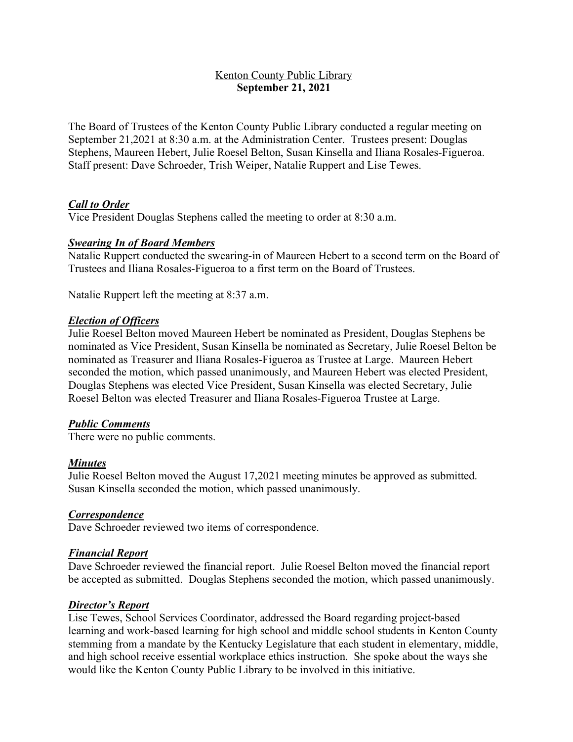## Kenton County Public Library **September 21, 2021**

The Board of Trustees of the Kenton County Public Library conducted a regular meeting on September 21,2021 at 8:30 a.m. at the Administration Center. Trustees present: Douglas Stephens, Maureen Hebert, Julie Roesel Belton, Susan Kinsella and Iliana Rosales-Figueroa. Staff present: Dave Schroeder, Trish Weiper, Natalie Ruppert and Lise Tewes.

## *Call to Order*

Vice President Douglas Stephens called the meeting to order at 8:30 a.m.

#### *Swearing In of Board Members*

Natalie Ruppert conducted the swearing-in of Maureen Hebert to a second term on the Board of Trustees and Iliana Rosales-Figueroa to a first term on the Board of Trustees.

Natalie Ruppert left the meeting at 8:37 a.m.

#### *Election of Officers*

Julie Roesel Belton moved Maureen Hebert be nominated as President, Douglas Stephens be nominated as Vice President, Susan Kinsella be nominated as Secretary, Julie Roesel Belton be nominated as Treasurer and Iliana Rosales-Figueroa as Trustee at Large. Maureen Hebert seconded the motion, which passed unanimously, and Maureen Hebert was elected President, Douglas Stephens was elected Vice President, Susan Kinsella was elected Secretary, Julie Roesel Belton was elected Treasurer and Iliana Rosales-Figueroa Trustee at Large.

#### *Public Comments*

There were no public comments.

#### *Minutes*

Julie Roesel Belton moved the August 17,2021 meeting minutes be approved as submitted. Susan Kinsella seconded the motion, which passed unanimously.

### *Correspondence*

Dave Schroeder reviewed two items of correspondence.

#### *Financial Report*

Dave Schroeder reviewed the financial report. Julie Roesel Belton moved the financial report be accepted as submitted. Douglas Stephens seconded the motion, which passed unanimously.

#### *Director's Report*

Lise Tewes, School Services Coordinator, addressed the Board regarding project-based learning and work-based learning for high school and middle school students in Kenton County stemming from a mandate by the Kentucky Legislature that each student in elementary, middle, and high school receive essential workplace ethics instruction. She spoke about the ways she would like the Kenton County Public Library to be involved in this initiative.